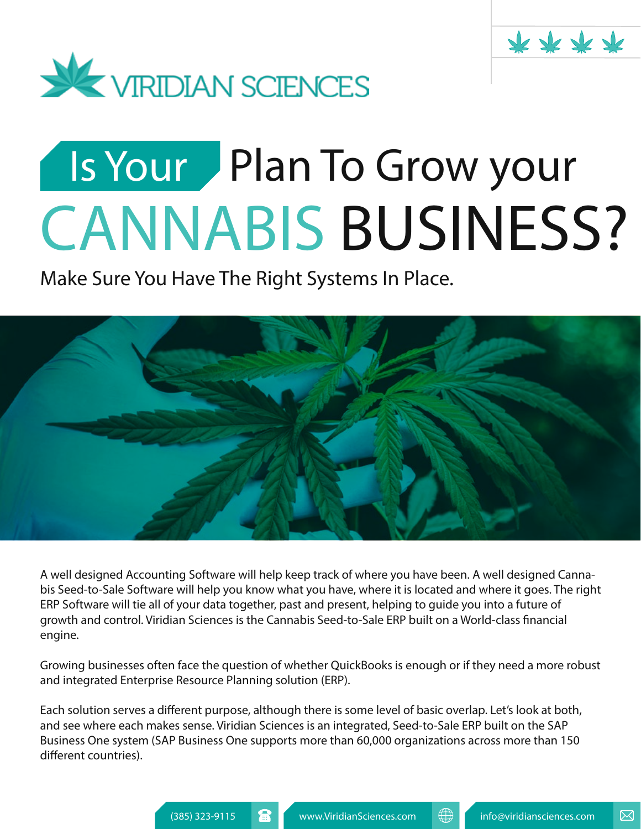



# CANNABIS BUSINESS? Plan To Grow your Is Your

**Make Sure You Have The Right Systems In Place.**



A well designed Accounting Software will help keep track of where you have been. A well designed Cannabis Seed-to-Sale Software will help you know what you have, where it is located and where it goes. The right ERP Software will tie all of your data together, past and present, helping to guide you into a future of growth and control. Viridian Sciences is the Cannabis Seed-to-Sale ERP built on a World-class financial engine.

Growing businesses often face the question of whether QuickBooks is enough or if they need a more robust and integrated Enterprise Resource Planning solution (ERP).

Each solution serves a different purpose, although there is some level of basic overlap. Let's look at both, and see where each makes sense. Viridian Sciences is an integrated, Seed-to-Sale ERP built on the SAP Business One system (SAP Business One supports more than 60,000 organizations across more than 150 different countries).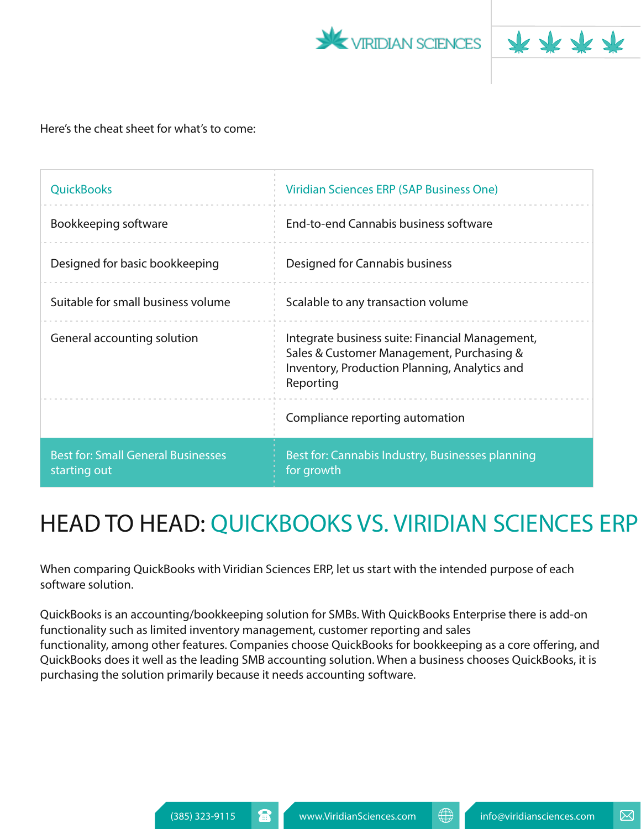



#### Here's the cheat sheet for what's to come:

| <b>QuickBooks</b>                                         | Viridian Sciences ERP (SAP Business One)                                                                                                                   |
|-----------------------------------------------------------|------------------------------------------------------------------------------------------------------------------------------------------------------------|
| Bookkeeping software                                      | End-to-end Cannabis business software                                                                                                                      |
| Designed for basic bookkeeping                            | Designed for Cannabis business                                                                                                                             |
| Suitable for small business volume                        | Scalable to any transaction volume                                                                                                                         |
| General accounting solution                               | Integrate business suite: Financial Management,<br>Sales & Customer Management, Purchasing &<br>Inventory, Production Planning, Analytics and<br>Reporting |
|                                                           | Compliance reporting automation                                                                                                                            |
| <b>Best for: Small General Businesses</b><br>starting out | Best for: Cannabis Industry, Businesses planning<br>for growth                                                                                             |

## HEAD TO HEAD: QUICKBOOKS VS. VIRIDIAN SCIENCES ERP

When comparing QuickBooks with Viridian Sciences ERP, let us start with the intended purpose of each software solution.

QuickBooks is an accounting/bookkeeping solution for SMBs. With QuickBooks Enterprise there is add-on functionality such as limited inventory management, customer reporting and sales functionality, among other features. Companies choose QuickBooks for bookkeeping as a core offering, and QuickBooks does it well as the leading SMB accounting solution. When a business chooses QuickBooks, it is purchasing the solution primarily because it needs accounting software.

⊠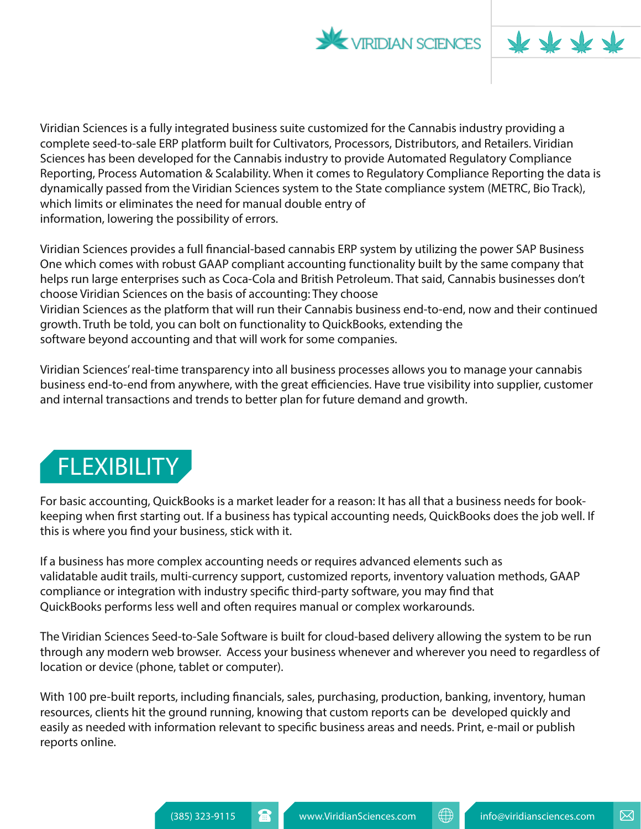



Viridian Sciences is a fully integrated business suite customized for the Cannabis industry providing a complete seed-to-sale ERP platform built for Cultivators, Processors, Distributors, and Retailers. Viridian Sciences has been developed for the Cannabis industry to provide Automated Regulatory Compliance Reporting, Process Automation & Scalability. When it comes to Regulatory Compliance Reporting the data is dynamically passed from the Viridian Sciences system to the State compliance system (METRC, Bio Track), which limits or eliminates the need for manual double entry of information, lowering the possibility of errors.

Viridian Sciences provides a full financial-based cannabis ERP system by utilizing the power SAP Business One which comes with robust GAAP compliant accounting functionality built by the same company that helps run large enterprises such as Coca-Cola and British Petroleum. That said, Cannabis businesses don't choose Viridian Sciences on the basis of accounting: They choose Viridian Sciences as the platform that will run their Cannabis business end-to-end, now and their continued growth. Truth be told, you can bolt on functionality to QuickBooks, extending the software beyond accounting and that will work for some companies.

Viridian Sciences' real-time transparency into all business processes allows you to manage your cannabis business end-to-end from anywhere, with the great efficiencies. Have true visibility into supplier, customer and internal transactions and trends to better plan for future demand and growth.

## **FLEXIBILITY**

For basic accounting, QuickBooks is a market leader for a reason: It has all that a business needs for bookkeeping when first starting out. If a business has typical accounting needs, QuickBooks does the job well. If this is where you find your business, stick with it.

If a business has more complex accounting needs or requires advanced elements such as validatable audit trails, multi-currency support, customized reports, inventory valuation methods, GAAP compliance or integration with industry specific third-party software, you may find that QuickBooks performs less well and often requires manual or complex workarounds.

The Viridian Sciences Seed-to-Sale Software is built for cloud-based delivery allowing the system to be run through any modern web browser. Access your business whenever and wherever you need to regardless of location or device (phone, tablet or computer).

With 100 pre-built reports, including financials, sales, purchasing, production, banking, inventory, human resources, clients hit the ground running, knowing that custom reports can be developed quickly and easily as needed with information relevant to specific business areas and needs. Print, e-mail or publish reports online.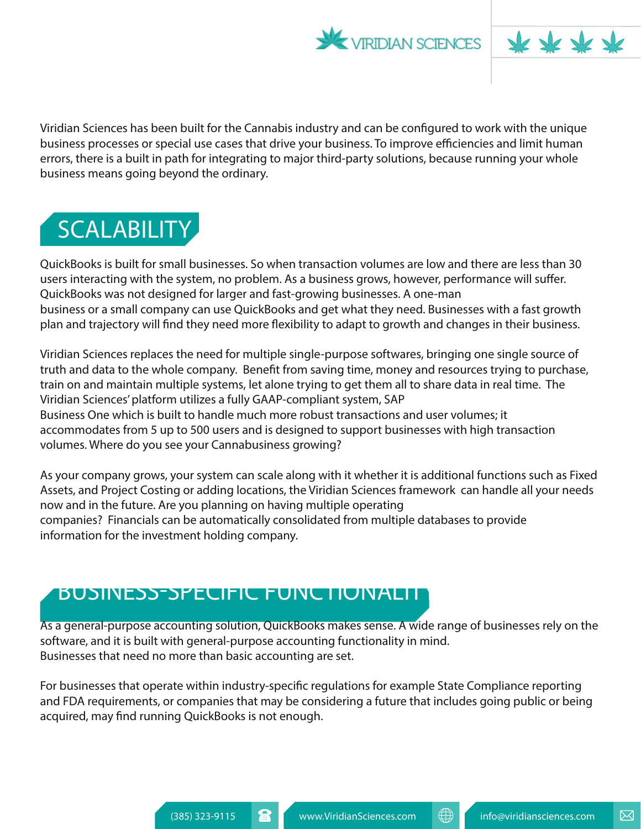



Viridian Sciences has been built for the Cannabis industry and can be configured to work with the unique business processes or special use cases that drive your business. To improve efficiencies and limit human errors, there is a built in path for integrating to major third-party solutions, because running your whole business means going beyond the ordinary.



QuickBooks is built for small businesses. So when transaction volumes are low and there are less than 30 users interacting with the system, no problem. As a business grows, however, performance will suffer. QuickBooks was not designed for larger and fast-growing businesses. A one-man business or a small company can use QuickBooks and get what they need. Businesses with a fast growth plan and trajectory will find they need more flexibility to adapt to growth and changes in their business.

Viridian Sciences replaces the need for multiple single-purpose softwares, bringing one single source of truth and data to the whole company. Benefit from saving time, money and resources trying to purchase, train on and maintain multiple systems, let alone trying to get them all to share data in real time. The Viridian Sciences' platform utilizes a fully GAAP-compliant system, SAP Business One which is built to handle much more robust transactions and user volumes; it accommodates from 5 up to 500 users and is designed to support businesses with high transaction volumes. Where do you see your Cannabusiness growing?

As your company grows, your system can scale along with it whether it is additional functions such as Fixed Assets, and Project Costing or adding locations, the Viridian Sciences framework can handle all your needs now and in the future. Are you planning on having multiple operating companies? Financials can be automatically consolidated from multiple databases to provide information for the investment holding company.

### BUSINESS-SPECIFIC FUNCTIONALITY

As a general-purpose accounting solution, QuickBooks makes sense. A wide range of businesses rely on the software, and it is built with general-purpose accounting functionality in mind. Businesses that need no more than basic accounting are set.

For businesses that operate within industry-specific regulations for example State Compliance reporting and FDA requirements, or companies that may be considering a future that includes going public or being acquired, may find running QuickBooks is not enough.

⊠